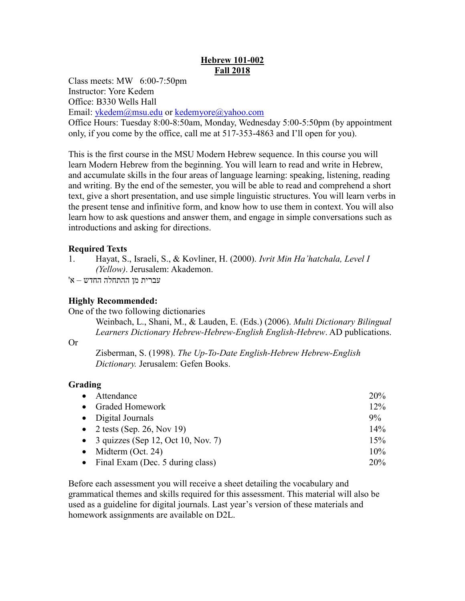# **Hebrew 101-002 Fall 2018**

Class meets: MW 6:00-7:50pm

Instructor: Yore Kedem

Office: B330 Wells Hall

Email: [ykedem@msu.edu](mailto:ykedem@msu.edu) or [kedemyore@yahoo.com](mailto:kedemyore@yahoo.com)

Office Hours: Tuesday 8:00-8:50am, Monday, Wednesday 5:00-5:50pm (by appointment only, if you come by the office, call me at 517-353-4863 and I'll open for you).

This is the first course in the MSU Modern Hebrew sequence. In this course you will learn Modern Hebrew from the beginning. You will learn to read and write in Hebrew, and accumulate skills in the four areas of language learning: speaking, listening, reading and writing. By the end of the semester, you will be able to read and comprehend a short text, give a short presentation, and use simple linguistic structures. You will learn verbs in the present tense and infinitive form, and know how to use them in context. You will also learn how to ask questions and answer them, and engage in simple conversations such as introductions and asking for directions.

# **Required Texts**

1. Hayat, S., Israeli, S., & Kovliner, H. (2000). *Ivrit Min Ha'hatchala, Level I (Yellow)*. Jerusalem: Akademon.

עברית מן ההתחלה החדש – א'

# **Highly Recommended:**

One of the two following dictionaries

Weinbach, L., Shani, M., & Lauden, E. (Eds.) (2006). *Multi Dictionary Bilingual Learners Dictionary Hebrew-Hebrew-English English-Hebrew*. AD publications.

## Or

Zisberman, S. (1998). *The Up-To-Date English-Hebrew Hebrew-English Dictionary.* Jerusalem: Gefen Books.

# **Grading**

| $\bullet$ | Attendance                           | <b>20%</b> |
|-----------|--------------------------------------|------------|
|           | • Graded Homework                    | 12%        |
|           | • Digital Journals                   | $9\%$      |
|           | • 2 tests (Sep. 26, Nov 19)          | 14%        |
|           | • 3 quizzes (Sep 12, Oct 10, Nov. 7) | 15%        |
|           | • Midterm (Oct. 24)                  | 10%        |
|           | • Final Exam (Dec. 5 during class)   | 20%        |

Before each assessment you will receive a sheet detailing the vocabulary and grammatical themes and skills required for this assessment. This material will also be used as a guideline for digital journals. Last year's version of these materials and homework assignments are available on D2L.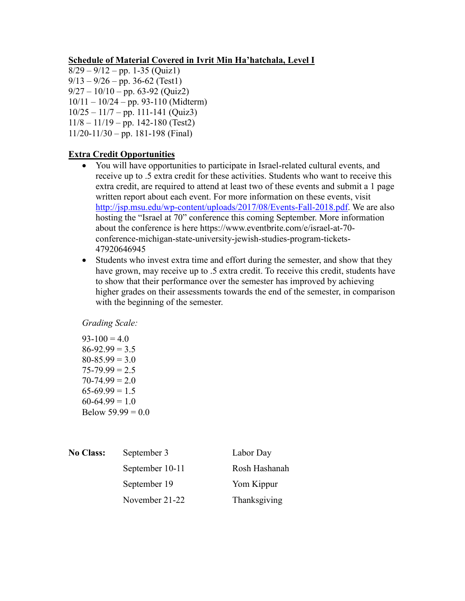### **Schedule of Material Covered in Ivrit Min Ha'hatchala, Level I**

- $8/29 9/12 pp. 1-35$  (Quiz1)
- $9/13 9/26 pp. 36-62$  (Test1)
- $9/27 10/10 pp.$  63-92 (Quiz2)
- 10/11 10/24 pp. 93-110 (Midterm)
- $10/25 11/7 pp.$  111-141 (Quiz3)
- $11/8 11/19$  pp. 142-180 (Test2)
- $11/20-11/30$  pp. 181-198 (Final)

### **Extra Credit Opportunities**

- You will have opportunities to participate in Israel-related cultural events, and receive up to .5 extra credit for these activities. Students who want to receive this extra credit, are required to attend at least two of these events and submit a 1 page written report about each event. For more information on these events, visit [http://jsp.msu.edu/wp-content/uploads/2017/08/Events-Fall-2018.pdf.](http://jsp.msu.edu/wp-content/uploads/2017/08/Events-Fall-2018.pdf) We are also hosting the "Israel at 70" conference this coming September. More information about the conference is here https://www.eventbrite.com/e/israel-at-70 conference-michigan-state-university-jewish-studies-program-tickets-47920646945
- Students who invest extra time and effort during the semester, and show that they have grown, may receive up to .5 extra credit. To receive this credit, students have to show that their performance over the semester has improved by achieving higher grades on their assessments towards the end of the semester, in comparison with the beginning of the semester.

*Grading Scale:*

 $93-100 = 4.0$  $86-92.99 = 3.5$  $80 - 85.99 = 3.0$  $75 - 79.99 = 2.5$  $70 - 74.99 = 2.0$  $65-69.99 = 1.5$  $60-64.99 = 1.0$ Below  $59.99 = 0.0$ 

| <b>No Class:</b> | September 3     | Labor Day     |
|------------------|-----------------|---------------|
|                  | September 10-11 | Rosh Hashanah |
|                  | September 19    | Yom Kippur    |
|                  | November 21-22  | Thanksgiving  |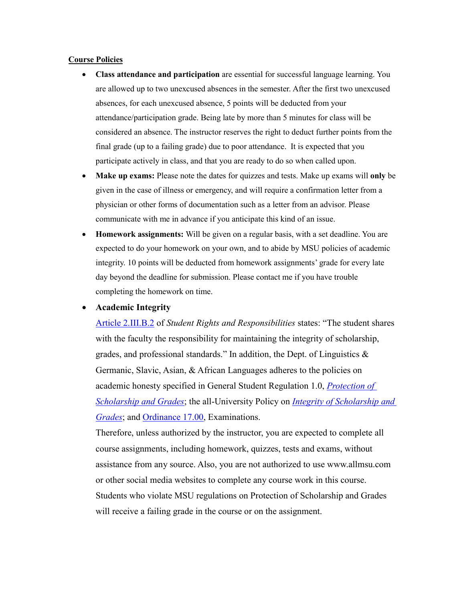#### **Course Policies**

- **Class attendance and participation** are essential for successful language learning. You are allowed up to two unexcused absences in the semester. After the first two unexcused absences, for each unexcused absence, 5 points will be deducted from your attendance/participation grade. Being late by more than 5 minutes for class will be considered an absence. The instructor reserves the right to deduct further points from the final grade (up to a failing grade) due to poor attendance. It is expected that you participate actively in class, and that you are ready to do so when called upon.
- **Make up exams:** Please note the dates for quizzes and tests. Make up exams will **only** be given in the case of illness or emergency, and will require a confirmation letter from a physician or other forms of documentation such as a letter from an advisor. Please communicate with me in advance if you anticipate this kind of an issue.
- **Homework assignments:** Will be given on a regular basis, with a set deadline. You are expected to do your homework on your own, and to abide by MSU policies of academic integrity. 10 points will be deducted from homework assignments' grade for every late day beyond the deadline for submission. Please contact me if you have trouble completing the homework on time.

#### **Academic Integrity**

[Article 2.III.B.2](http://splife.studentlife.msu.edu/academic-freedom-for-students-at-michigan-state-university/article-2-academic-rights-and-responsibilities) of *Student Rights and Responsibilities* states: "The student shares with the faculty the responsibility for maintaining the integrity of scholarship, grades, and professional standards." In addition, the Dept. of Linguistics & Germanic, Slavic, Asian, & African Languages adheres to the policies on academic honesty specified in General Student Regulation 1.0, *[Protection of](http://splife.studentlife.msu.edu/regulations/general-student-regulations)  [Scholarship and Grades](http://splife.studentlife.msu.edu/regulations/general-student-regulations)*; the all-University Policy on *[Integrity of Scholarship and](http://www.reg.msu.edu/AcademicPrograms/Print.asp?Section=534)  [Grades](http://www.reg.msu.edu/AcademicPrograms/Print.asp?Section=534)*; and [Ordinance 17.00,](http://splife.studentlife.msu.edu/regulations/student-group-regulations-administrative-rulings-all-university-policies-and-selected-ordinances/examinations-ordinance-17-00) Examinations.

Therefore, unless authorized by the instructor, you are expected to complete all course assignments, including homework, quizzes, tests and exams, without assistance from any source. Also, you are not authorized to use www.allmsu.com or other social media websites to complete any course work in this course. Students who violate MSU regulations on Protection of Scholarship and Grades will receive a failing grade in the course or on the assignment.